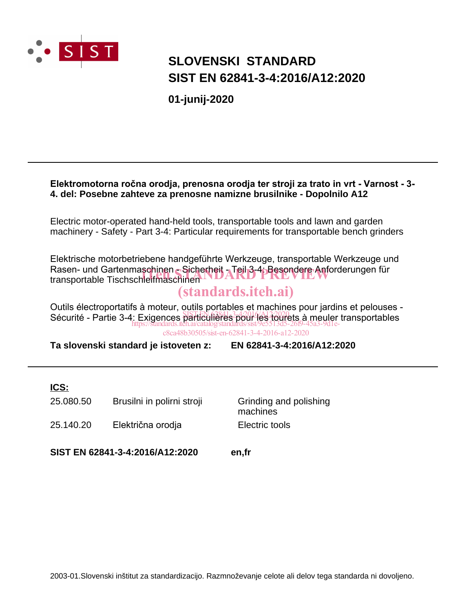

## **SLOVENSKI STANDARD SIST EN 62841-3-4:2016/A12:2020**

**01-junij-2020**

### **Elektromotorna ročna orodja, prenosna orodja ter stroji za trato in vrt - Varnost - 3- 4. del: Posebne zahteve za prenosne namizne brusilnike - Dopolnilo A12**

Electric motor-operated hand-held tools, transportable tools and lawn and garden machinery - Safety - Part 3-4: Particular requirements for transportable bench grinders

Elektrische motorbetriebene handgeführte Werkzeuge, transportable Werkzeuge und Rasen- und Gartenmaschinen - Sicherheit - Teil 3-4: Besondere Anforderungen für Rasen- und Gartenmaschinen - Sicherheit <sub>A</sub>Teil 3-4; Besondere Anforc<br>transportable Tischschleifmaschinen

### (standards.iteh.ai)

Outils électroportatifs à moteur, outils portables et machines pour jardins et pelouses - Sécurité - Partie 3-4: Exigences particulières pour les tourets à meuler transportables https://standards.iteh.ai/catalog/standards/sist/9e5513d5-26f9-45a3-9d1ec8ca48b30505/sist-en-62841-3-4-2016-a12-2020

**Ta slovenski standard je istoveten z: EN 62841-3-4:2016/A12:2020**

### **ICS:**

| 25.080.50 | Brusilni in polirni stroji | Grinding and polishing<br>machines |
|-----------|----------------------------|------------------------------------|
| 25.140.20 | Električna orodja          | Electric tools                     |

**SIST EN 62841-3-4:2016/A12:2020 en,fr**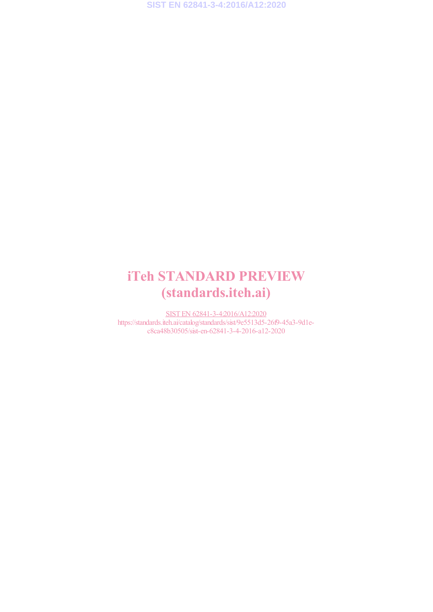**SIST EN 62841-3-4:2016/A12:2020**

# iTeh STANDARD PREVIEW (standards.iteh.ai)

SIST EN 62841-3-4:2016/A12:2020 https://standards.iteh.ai/catalog/standards/sist/9e5513d5-26f9-45a3-9d1ec8ca48b30505/sist-en-62841-3-4-2016-a12-2020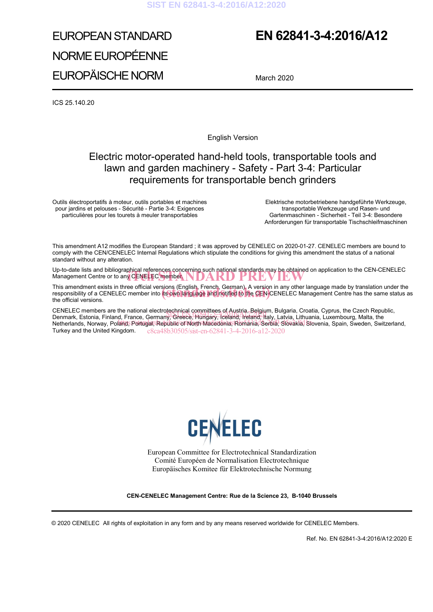# EUROPEAN STANDARD NORME EUROPÉENNE EUROPÄISCHE NORM

## **EN 62841-3-4:2016/A12**

March 2020

ICS 25.140.20

English Version

### Electric motor-operated hand-held tools, transportable tools and lawn and garden machinery - Safety - Part 3-4: Particular requirements for transportable bench grinders

Outils électroportatifs à moteur, outils portables et machines pour jardins et pelouses - Sécurité - Partie 3-4: Exigences particulières pour les tourets à meuler transportables

Elektrische motorbetriebene handgeführte Werkzeuge, transportable Werkzeuge und Rasen- und Gartenmaschinen - Sicherheit - Teil 3-4: Besondere Anforderungen für transportable Tischschleifmaschinen

This amendment A12 modifies the European Standard ; it was approved by CENELEC on 2020-01-27. CENELEC members are bound to comply with the CEN/CENELEC Internal Regulations which stipulate the conditions for giving this amendment the status of a national standard without any alteration.

Up-to-date lists and bibliographical references concerning such national standards may be obtained on application to the CEN-CENELEC iTeh STANDARD PREVIEW Management Centre or to any CENELEC member.

This amendment exists in three official versions (English, French, German). A version in any other language made by translation under the This amendment exists in three official versions (English, French, German). A version in any other language made by translation under the<br>responsibility of a CENELEC member into its own language and notified to the CEN-CEN the official versions.

CENELEC members are the national electrotechnical committees of Austria, Belgium, Bulgaria, Croatia, Cyprus, the Czech Republic, CENELEC members are the national electrolectringal committees of Austria, Belgium, Bulgaria, Croatia, Cyprus, the Czech Repu<br>Denmark, Estonia, Finland, France, Germany, Greece, Hungary, Iceland, Ireland, Italy, Latvia, Lit Definition, Ectonia, Finand, Francy, Poland, Republic of North Macedonia, Romania, Serbia, Slovakia, Slovenia, Spain, Sweden, Switzerland, Turkey and the United Kingdom. c8ca48b30505/sist-en-62841-3-4-2016-a12-2020



European Committee for Electrotechnical Standardization Comité Européen de Normalisation Electrotechnique Europäisches Komitee für Elektrotechnische Normung

#### **CEN-CENELEC Management Centre: Rue de la Science 23, B-1040 Brussels**

© 2020 CENELEC All rights of exploitation in any form and by any means reserved worldwide for CENELEC Members.

Ref. No. EN 62841-3-4:2016/A12:2020 E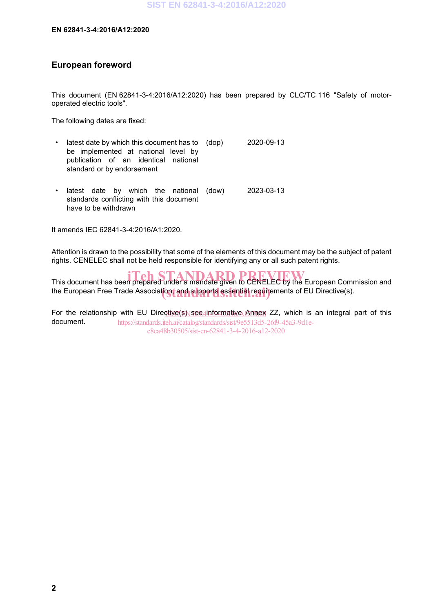#### **European foreword**

This document (EN 62841-3-4:2016/A12:2020) has been prepared by CLC/TC 116 "Safety of motoroperated electric tools".

The following dates are fixed:

- latest date by which this document has to (dop) be implemented at national level by publication of an identical national standard or by endorsement 2020-09-13
- latest date by which the national (dow) standards conflicting with this document have to be withdrawn (dow) 2023-03-13

It amends IEC 62841-3-4:2016/A1:2020.

Attention is drawn to the possibility that some of the elements of this document may be the subject of patent rights. CENELEC shall not be held responsible for identifying any or all such patent rights.

This document has been prepared under a mandate given to CENELEC by the European Commission and the European Free Trade Association, and supports essential requirements of EU Directive(s).

For the relationship with EU Direc<u>tive(s) see informative Annex</u> ZZ, which is an integral part of this document. https://standards.iteh.ai/catalog/standards/sist/9e5513d5-26f9-45a3-9d1ec8ca48b30505/sist-en-62841-3-4-2016-a12-2020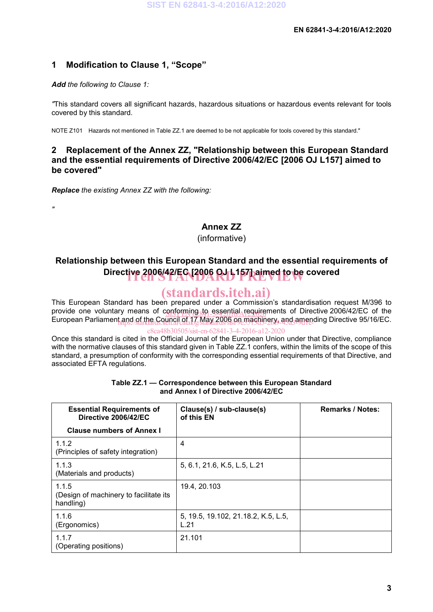### **1 Modification to Clause 1, "Scope"**

#### *Add the following to Clause 1:*

*"*

*"*This standard covers all significant hazards, hazardous situations or hazardous events relevant for tools covered by this standard.

NOTE Z101 Hazards not mentioned in Table ZZ.1 are deemed to be not applicable for tools covered by this standard."

#### **2 Replacement of the Annex ZZ, "Relationship between this European Standard and the essential requirements of Directive 2006/42/EC [2006 OJ L157] aimed to be covered"**

*Replace the existing Annex ZZ with the following:*

#### **Annex ZZ**

(informative)

## **Relationship between this European Standard and the essential requirements of**  Directive 2006/42/EC [2006 OJ L157] aimed to be covered

### (standards.iteh.ai)

This European Standard has been prepared under a Commission's standardisation request M/396 to provide one voluntary means of conforming to essential requirements of Directive 2006/42/EC of the<br>European Parliament and of the Canadian Canadian Canadian and annoyable and an ending Directive OF/46/EC European Parliament and of the Council of 17 May 2006 on machinery, and amending Directive 95/16/EC.<br>https://www.androiden.ail.com/www.androiden.ail/catalog/standards/sist/9e5313d3-26f9-45a3-9d1en.ail.com

c8ca48b30505/sist-en-62841-3-4-2016-a12-2020

Once this standard is cited in the Official Journal of the European Union under that Directive, compliance with the normative clauses of this standard given in Table ZZ.1 confers, within the limits of the scope of this standard, a presumption of conformity with the corresponding essential requirements of that Directive, and associated EFTA regulations.

| <b>Essential Requirements of</b><br>Directive 2006/42/EC     | Clause(s) / sub-clause(s)<br>of this EN     | <b>Remarks / Notes:</b> |
|--------------------------------------------------------------|---------------------------------------------|-------------------------|
| <b>Clause numbers of Annex I</b>                             |                                             |                         |
| 1.1.2<br>(Principles of safety integration)                  | 4                                           |                         |
| 1.1.3<br>(Materials and products)                            | 5, 6.1, 21.6, K.5, L.5, L.21                |                         |
| 1.1.5<br>(Design of machinery to facilitate its<br>handling) | 19.4, 20.103                                |                         |
| 1.1.6<br>(Ergonomics)                                        | 5, 19.5, 19.102, 21.18.2, K.5, L.5,<br>L.21 |                         |
| 1.1.7<br>(Operating positions)                               | 21.101                                      |                         |

#### **Table ZZ.1 — Correspondence between this European Standard and Annex I of Directive 2006/42/EC**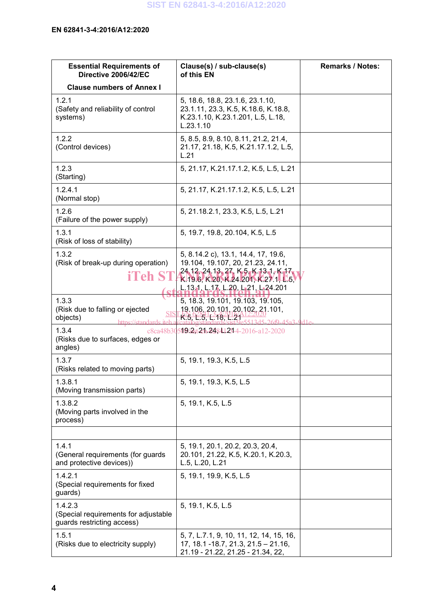| <b>Essential Requirements of</b><br>Directive 2006/42/EC                                     | Clause(s) / sub-clause(s)<br>of this EN                                                                                                                                                         | <b>Remarks / Notes:</b> |
|----------------------------------------------------------------------------------------------|-------------------------------------------------------------------------------------------------------------------------------------------------------------------------------------------------|-------------------------|
| <b>Clause numbers of Annex I</b>                                                             |                                                                                                                                                                                                 |                         |
| 1.2.1<br>(Safety and reliability of control<br>systems)                                      | 5, 18.6, 18.8, 23.1.6, 23.1.10,<br>23.1.11, 23.3, K.5, K.18.6, K.18.8,<br>K.23.1.10, K.23.1.201, L.5, L.18,<br>L.23.1.10                                                                        |                         |
| 1.2.2<br>(Control devices)                                                                   | 5, 8.5, 8.9, 8.10, 8.11, 21.2, 21.4,<br>21.17, 21.18, K.5, K.21.17.1.2, L.5,<br>L.21                                                                                                            |                         |
| 1.2.3<br>(Starting)                                                                          | 5, 21.17, K.21.17.1.2, K.5, L.5, L.21                                                                                                                                                           |                         |
| 1.2.4.1<br>(Normal stop)                                                                     | 5, 21.17, K.21.17.1.2, K.5, L.5, L.21                                                                                                                                                           |                         |
| 1.2.6<br>(Failure of the power supply)                                                       | 5, 21.18.2.1, 23.3, K.5, L.5, L.21                                                                                                                                                              |                         |
| 1.3.1<br>(Risk of loss of stability)                                                         | 5, 19.7, 19.8, 20.104, K.5, L.5                                                                                                                                                                 |                         |
| 1.3.2<br>(Risk of break-up during operation)<br><b>iTeh ST</b>                               | 5, 8.14.2 c), 13.1, 14.4, 17, 19.6,<br>19.104, 19.107, 20, 21.23, 24.11,<br>24 12, 24 13, 27, K-5, K-13 1, K-17,<br>K.19.6, K.20, K.24.201, K.27.1, L.5,<br>L.13, 1, L.17, L.20, L.21, L.24.201 |                         |
| 1.3.3<br>(Risk due to falling or ejected<br><b>SIS</b><br>objects)<br>https://standards.jteh | 5, 18.3, 19.101, 19.103, 19.105,<br>19,106,20,101,20,102,21.101,<br><u>K.5, L.5, L.18, L.21</u><br>560, 4502, 041e                                                                              |                         |
| 1.3.4<br>(Risks due to surfaces, edges or<br>angles)                                         | c8ca48b30509/2st2-h-248412314-2016-a12-2020                                                                                                                                                     |                         |
| 1.3.7<br>(Risks related to moving parts)                                                     | 5, 19.1, 19.3, K.5, L.5                                                                                                                                                                         |                         |
| 1.3.8.1<br>(Moving transmission parts)                                                       | 5, 19.1, 19.3, K.5, L.5                                                                                                                                                                         |                         |
| 1.3.8.2<br>(Moving parts involved in the<br>process)                                         | 5, 19.1, K.5, L.5                                                                                                                                                                               |                         |
|                                                                                              |                                                                                                                                                                                                 |                         |
| 1.4.1<br>(General requirements (for guards<br>and protective devices))                       | 5, 19.1, 20.1, 20.2, 20.3, 20.4,<br>20.101, 21.22, K.5, K.20.1, K.20.3,<br>L.5, L.20, L.21                                                                                                      |                         |
| 1.4.2.1<br>(Special requirements for fixed<br>guards)                                        | 5, 19.1, 19.9, K.5, L.5                                                                                                                                                                         |                         |
| 1.4.2.3<br>(Special requirements for adjustable<br>guards restricting access)                | 5, 19.1, K.5, L.5                                                                                                                                                                               |                         |
| 1.5.1<br>(Risks due to electricity supply)                                                   | 5, 7, L.7.1, 9, 10, 11, 12, 14, 15, 16,<br>17, 18.1 - 18.7, 21.3, 21.5 - 21.16,<br>21.19 - 21.22, 21.25 - 21.34, 22,                                                                            |                         |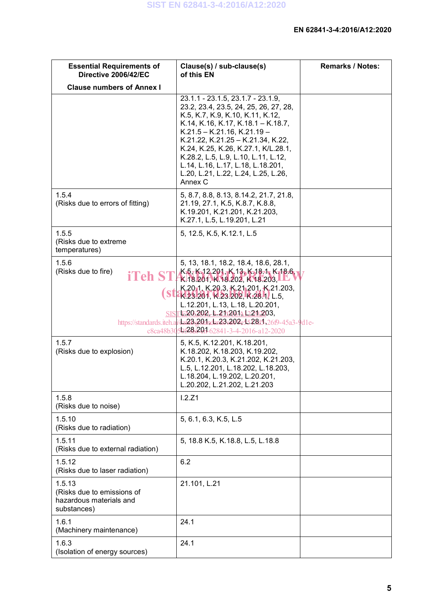| <b>Essential Requirements of</b><br>Directive 2006/42/EC                       | Clause(s) / sub-clause(s)<br>of this EN                                                                                                                                                                                                                                                                                                                                                         | <b>Remarks / Notes:</b> |
|--------------------------------------------------------------------------------|-------------------------------------------------------------------------------------------------------------------------------------------------------------------------------------------------------------------------------------------------------------------------------------------------------------------------------------------------------------------------------------------------|-------------------------|
| <b>Clause numbers of Annex I</b>                                               |                                                                                                                                                                                                                                                                                                                                                                                                 |                         |
|                                                                                | 23.1.1 - 23.1.5, 23.1.7 - 23.1.9,<br>23.2, 23.4, 23.5, 24, 25, 26, 27, 28,<br>K.5, K.7, K.9, K.10, K.11, K.12,<br>K.14, K.16, K.17, K.18.1 - K.18.7,<br>$K.21.5 - K.21.16, K.21.19 -$<br>K.21.22, K.21.25 - K.21.34, K.22,<br>K.24, K.25, K.26, K.27.1, K/L.28.1,<br>K.28.2, L.5, L.9, L.10, L.11, L.12,<br>L.14, L.16, L.17, L.18, L.18.201,<br>L.20, L.21, L.22, L.24, L.25, L.26,<br>Annex C |                         |
| 1.5.4<br>(Risks due to errors of fitting)                                      | 5, 8.7, 8.8, 8.13, 8.14.2, 21.7, 21.8,<br>21.19, 27.1, K.5, K.8.7, K.8.8,<br>K.19.201, K.21.201, K.21.203,<br>K.27.1, L.5, L.19.201, L.21                                                                                                                                                                                                                                                       |                         |
| 1.5.5<br>(Risks due to extreme<br>temperatures)                                | 5, 12.5, K.5, K.12.1, L.5                                                                                                                                                                                                                                                                                                                                                                       |                         |
| 1.5.6<br>(Risks due to fire)<br><b>iTeh ST</b>                                 | 5, 13, 18.1, 18.2, 18.4, 18.6, 28.1,<br>K-5, K-12, 201, K-13, K-18, 1, K-18, 6,<br>$K$ 18.201, K.18.202, K.18.203, L.L.<br>K.2011, K.20.3, K.21.201, K.21.203,                                                                                                                                                                                                                                  |                         |
|                                                                                | <b>FK.23.201, K.23.202, K.28.4, L.5,</b><br>L.12.201, L.13, L.18, L.20.201,<br>SISTE206202, B.21020141220203,<br>https://standards.iteh.al/dat28;201ndar23;202c1528i1-26f9-45a3-9d1e-<br>c8ca48b3050528s201-62841-3-4-2016-a12-2020                                                                                                                                                             |                         |
| 1.5.7<br>(Risks due to explosion)                                              | 5, K.5, K.12.201, K.18.201,<br>K.18.202, K.18.203, K.19.202,<br>K.20.1, K.20.3, K.21.202, K.21.203,<br>L.5, L.12.201, L.18.202, L.18.203,<br>L.18.204, L.19.202, L.20.201,<br>L.20.202, L.21.202, L.21.203                                                                                                                                                                                      |                         |
| 1.5.8<br>(Risks due to noise)                                                  | 1.2.21                                                                                                                                                                                                                                                                                                                                                                                          |                         |
| 1.5.10<br>(Risks due to radiation)                                             | 5, 6.1, 6.3, K.5, L.5                                                                                                                                                                                                                                                                                                                                                                           |                         |
| 1.5.11<br>(Risks due to external radiation)                                    | 5, 18.8 K.5, K.18.8, L.5, L.18.8                                                                                                                                                                                                                                                                                                                                                                |                         |
| 1.5.12<br>(Risks due to laser radiation)                                       | 6.2                                                                                                                                                                                                                                                                                                                                                                                             |                         |
| 1.5.13<br>(Risks due to emissions of<br>hazardous materials and<br>substances) | 21.101, L.21                                                                                                                                                                                                                                                                                                                                                                                    |                         |
| 1.6.1<br>(Machinery maintenance)                                               | 24.1                                                                                                                                                                                                                                                                                                                                                                                            |                         |
| 1.6.3<br>(Isolation of energy sources)                                         | 24.1                                                                                                                                                                                                                                                                                                                                                                                            |                         |